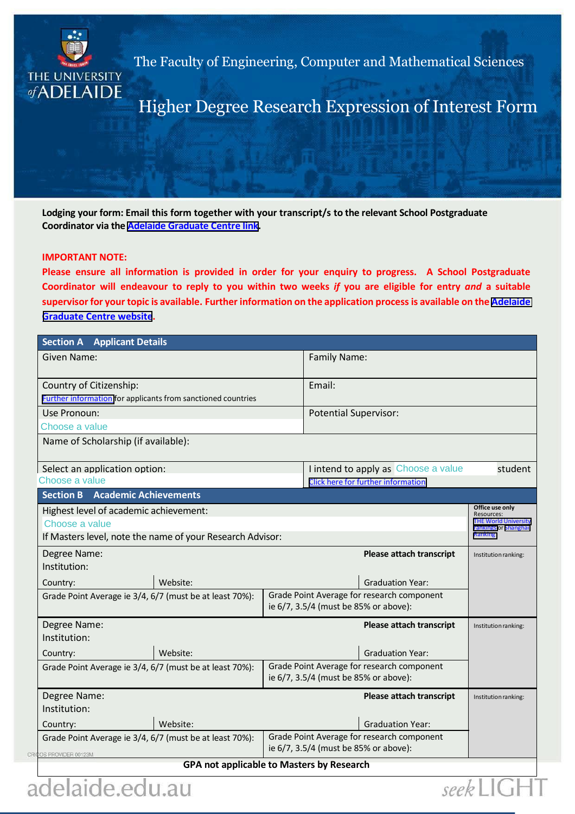

The Faculty of Engineering, Computer and Mathematical Sciences

Higher Degree Research Expression of Interest Form

**Lodging your form: Email this form together with your transcript/s to the relevant School Postgraduate Coordinator via the [Adelaide Graduate Centre](http://www.adelaide.edu.au/graduatecentre/staff/postgraduate-coordinators/pgc-list/ecms/) link.**

## **IMPORTANT NOTE:**

**Please ensure all information is provided in order for your enquiry to progress. A School Postgraduate Coordinator will endeavour to reply to you within two weeks** *if* **you are eligible for entry** *and* **a suitable supervisor for your topic is available. Further information on the application process is available on the [Adelaide](http://www.adelaide.edu.au/graduatecentre/admission/) [Graduate Centre](http://www.adelaide.edu.au/graduatecentre/admission/) website.**

| <b>Section A</b> Applicant Details                                  |                                            |                                                                       |                                                                                     |                                 |                      |              |  |  |
|---------------------------------------------------------------------|--------------------------------------------|-----------------------------------------------------------------------|-------------------------------------------------------------------------------------|---------------------------------|----------------------|--------------|--|--|
| <b>Given Name:</b>                                                  |                                            |                                                                       | Family Name:                                                                        |                                 |                      |              |  |  |
| Country of Citizenship:                                             |                                            |                                                                       | Email:                                                                              |                                 |                      |              |  |  |
| <b>Further information for applicants from sanctioned countries</b> |                                            |                                                                       |                                                                                     |                                 |                      |              |  |  |
| Use Pronoun:                                                        |                                            |                                                                       | <b>Potential Supervisor:</b>                                                        |                                 |                      |              |  |  |
| Choose a value                                                      |                                            |                                                                       |                                                                                     |                                 |                      |              |  |  |
| Name of Scholarship (if available):                                 |                                            |                                                                       |                                                                                     |                                 |                      |              |  |  |
| Select an application option:                                       |                                            |                                                                       | I intend to apply as Choose a value<br>student                                      |                                 |                      |              |  |  |
| Choose a value                                                      |                                            | <b>Click here for further information</b>                             |                                                                                     |                                 |                      |              |  |  |
| <b>Academic Achievements</b><br><b>Section B</b>                    |                                            |                                                                       |                                                                                     |                                 | Office use only      |              |  |  |
| Highest level of academic achievement:                              |                                            |                                                                       |                                                                                     |                                 |                      |              |  |  |
| Choose a value                                                      |                                            | <b>THE World University</b><br>rankings or Shanghai<br><b>Ranking</b> |                                                                                     |                                 |                      |              |  |  |
| If Masters level, note the name of your Research Advisor:           |                                            |                                                                       |                                                                                     |                                 |                      |              |  |  |
| Degree Name:                                                        |                                            |                                                                       |                                                                                     | <b>Please attach transcript</b> | Institution ranking: |              |  |  |
| Institution:                                                        |                                            |                                                                       |                                                                                     |                                 |                      |              |  |  |
| Country:                                                            | Website:                                   |                                                                       |                                                                                     | <b>Graduation Year:</b>         |                      |              |  |  |
| Grade Point Average ie 3/4, 6/7 (must be at least 70%):             |                                            |                                                                       | Grade Point Average for research component<br>ie 6/7, 3.5/4 (must be 85% or above): |                                 |                      |              |  |  |
|                                                                     |                                            |                                                                       |                                                                                     |                                 |                      | Degree Name: |  |  |
| Institution:                                                        |                                            |                                                                       |                                                                                     |                                 |                      |              |  |  |
| Country:                                                            | Website:                                   |                                                                       |                                                                                     | <b>Graduation Year:</b>         |                      |              |  |  |
| Grade Point Average ie 3/4, 6/7 (must be at least 70%):             |                                            |                                                                       | Grade Point Average for research component                                          |                                 |                      |              |  |  |
|                                                                     |                                            |                                                                       | ie 6/7, 3.5/4 (must be 85% or above):                                               |                                 |                      |              |  |  |
| Degree Name:                                                        |                                            |                                                                       |                                                                                     | <b>Please attach transcript</b> | Institution ranking: |              |  |  |
| Institution:                                                        |                                            |                                                                       |                                                                                     |                                 |                      |              |  |  |
| Country:                                                            | Website:                                   |                                                                       |                                                                                     | <b>Graduation Year:</b>         |                      |              |  |  |
| Grade Point Average ie 3/4, 6/7 (must be at least 70%):             | Grade Point Average for research component |                                                                       |                                                                                     |                                 |                      |              |  |  |
| OS PROVIDER 00123M                                                  | ie 6/7, 3.5/4 (must be 85% or above):      |                                                                       |                                                                                     |                                 |                      |              |  |  |
| <b>GPA not applicable to Masters by Research</b>                    |                                            |                                                                       |                                                                                     |                                 |                      |              |  |  |

seek

delaide.edu.au